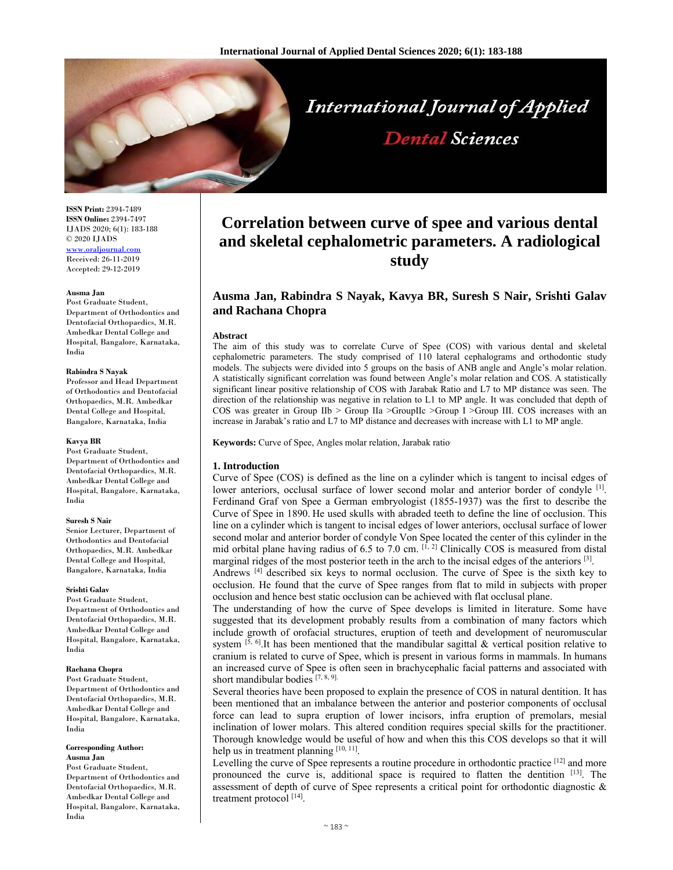

**ISSN Print:** 2394-7489 **ISSN Online:** 2394-7497 IJADS 2020; 6(1): 183-188 © 2020 IJADS www.oraljourna Received: 26-11-2019 Accepted: 29-12-2019

#### **Ausma Jan**

Post Graduate Student, Department of Orthodontics and Dentofacial Orthopaedics, M.R. Ambedkar Dental College and Hospital, Bangalore, Karnataka, India

#### **Rabindra S Nayak**

Professor and Head Department of Orthodontics and Dentofacial Orthopaedics, M.R. Ambedkar Dental College and Hospital, Bangalore, Karnataka, India

#### **Kavya BR**

Post Graduate Student, Department of Orthodontics and Dentofacial Orthopaedics, M.R. Ambedkar Dental College and Hospital, Bangalore, Karnataka, India

#### **Suresh S Nair**

Senior Lecturer, Department of Orthodontics and Dentofacial Orthopaedics, M.R. Ambedkar Dental College and Hospital, Bangalore, Karnataka, India

#### **Srishti Galav**

Post Graduate Student, Department of Orthodontics and Dentofacial Orthopaedics, M.R. Ambedkar Dental College and Hospital, Bangalore, Karnataka, India

#### **Rachana Chopra**

Post Graduate Student, Department of Orthodontics and Dentofacial Orthopaedics, M.R. Ambedkar Dental College and Hospital, Bangalore, Karnataka, India

# **Corresponding Author:**

**Ausma Jan** 

Post Graduate Student, Department of Orthodontics and Dentofacial Orthopaedics, M.R. Ambedkar Dental College and Hospital, Bangalore, Karnataka, India

# **Correlation between curve of spee and various dental and skeletal cephalometric parameters. A radiological study**

**Dental Sciences** 

# **Ausma Jan, Rabindra S Nayak, Kavya BR, Suresh S Nair, Srishti Galav and Rachana Chopra**

#### **Abstract**

The aim of this study was to correlate Curve of Spee (COS) with various dental and skeletal cephalometric parameters. The study comprised of 110 lateral cephalograms and orthodontic study models. The subjects were divided into 5 groups on the basis of ANB angle and Angle's molar relation. A statistically significant correlation was found between Angle's molar relation and COS. A statistically significant linear positive relationship of COS with Jarabak Ratio and L7 to MP distance was seen. The direction of the relationship was negative in relation to L1 to MP angle. It was concluded that depth of COS was greater in Group IIb > Group IIa >GroupIIc >Group I >Group III. COS increases with an increase in Jarabak's ratio and L7 to MP distance and decreases with increase with L1 to MP angle.

**Keywords:** Curve of Spee, Angles molar relation, Jarabak ratio.

#### **1. Introduction**

Curve of Spee (COS) is defined as the line on a cylinder which is tangent to incisal edges of lower anteriors, occlusal surface of lower second molar and anterior border of condyle <sup>[1]</sup>. Ferdinand Graf von Spee a German embryologist (1855-1937) was the first to describe the Curve of Spee in 1890. He used skulls with abraded teeth to define the line of occlusion. This line on a cylinder which is tangent to incisal edges of lower anteriors, occlusal surface of lower second molar and anterior border of condyle Von Spee located the center of this cylinder in the mid orbital plane having radius of 6.5 to 7.0 cm.  $[1, 2]$  Clinically COS is measured from distal marginal ridges of the most posterior teeth in the arch to the incisal edges of the anteriors [3].

Andrews [4] described six keys to normal occlusion. The curve of Spee is the sixth key to occlusion. He found that the curve of Spee ranges from flat to mild in subjects with proper occlusion and hence best static occlusion can be achieved with flat occlusal plane.

The understanding of how the curve of Spee develops is limited in literature. Some have suggested that its development probably results from a combination of many factors which include growth of orofacial structures, eruption of teeth and development of neuromuscular system <sup>[5, 6]</sup>.It has been mentioned that the mandibular sagittal & vertical position relative to cranium is related to curve of Spee, which is present in various forms in mammals. In humans an increased curve of Spee is often seen in brachycephalic facial patterns and associated with short mandibular bodies [7, 8, 9].

Several theories have been proposed to explain the presence of COS in natural dentition. It has been mentioned that an imbalance between the anterior and posterior components of occlusal force can lead to supra eruption of lower incisors, infra eruption of premolars, mesial inclination of lower molars. This altered condition requires special skills for the practitioner. Thorough knowledge would be useful of how and when this this COS develops so that it will help us in treatment planning  $[10, 11]$ .

Levelling the curve of Spee represents a routine procedure in orthodontic practice  $[12]$  and more pronounced the curve is, additional space is required to flatten the dentition [13]. The assessment of depth of curve of Spee represents a critical point for orthodontic diagnostic & treatment protocol [14].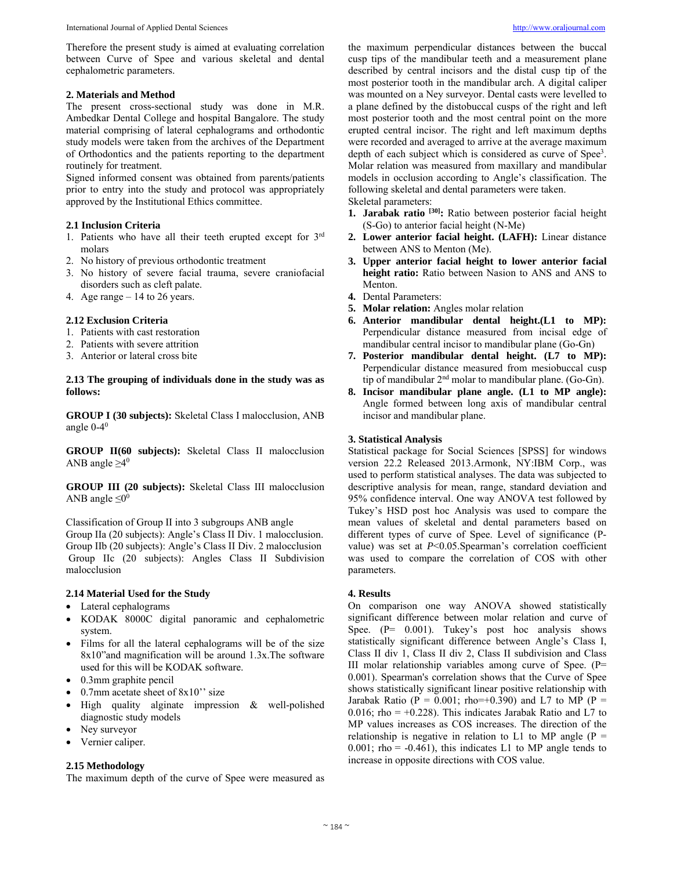Therefore the present study is aimed at evaluating correlation between Curve of Spee and various skeletal and dental cephalometric parameters.

### **2. Materials and Method**

The present cross-sectional study was done in M.R. Ambedkar Dental College and hospital Bangalore. The study material comprising of lateral cephalograms and orthodontic study models were taken from the archives of the Department of Orthodontics and the patients reporting to the department routinely for treatment.

Signed informed consent was obtained from parents/patients prior to entry into the study and protocol was appropriately approved by the Institutional Ethics committee.

## **2.1 Inclusion Criteria**

- 1. Patients who have all their teeth erupted except for 3rd molars
- 2. No history of previous orthodontic treatment
- 3. No history of severe facial trauma, severe craniofacial disorders such as cleft palate.
- 4. Age range 14 to 26 years.

## **2.12 Exclusion Criteria**

- 1. Patients with cast restoration
- 2. Patients with severe attrition
- 3. Anterior or lateral cross bite

## **2.13 The grouping of individuals done in the study was as follows:**

**GROUP I (30 subjects):** Skeletal Class I malocclusion, ANB angle  $0-4^0$ 

**GROUP II(60 subjects):** Skeletal Class II malocclusion ANB angle  $\geq 4^0$ 

**GROUP III (20 subjects):** Skeletal Class III malocclusion ANB angle  $\leq 0^0$ 

Classification of Group II into 3 subgroups ANB angle Group IIa (20 subjects): Angle's Class II Div. 1 malocclusion. Group IIb (20 subjects): Angle's Class II Div. 2 malocclusion Group IIc (20 subjects): Angles Class II Subdivision malocclusion

## **2.14 Material Used for the Study**

- Lateral cephalograms
- KODAK 8000C digital panoramic and cephalometric system.
- Films for all the lateral cephalograms will be of the size 8x10"and magnification will be around 1.3x.The software used for this will be KODAK software.
- 0.3mm graphite pencil
- 0.7mm acetate sheet of 8x10'' size
- High quality alginate impression & well-polished diagnostic study models
- Ney surveyor
- Vernier caliper.

## **2.15 Methodology**

The maximum depth of the curve of Spee were measured as

the maximum perpendicular distances between the buccal cusp tips of the mandibular teeth and a measurement plane described by central incisors and the distal cusp tip of the most posterior tooth in the mandibular arch. A digital caliper was mounted on a Ney surveyor. Dental casts were levelled to a plane defined by the distobuccal cusps of the right and left most posterior tooth and the most central point on the more erupted central incisor. The right and left maximum depths were recorded and averaged to arrive at the average maximum depth of each subject which is considered as curve of Spee<sup>3</sup>. Molar relation was measured from maxillary and mandibular models in occlusion according to Angle's classification. The following skeletal and dental parameters were taken.

Skeletal parameters:

- **1. Jarabak ratio [30]:** Ratio between posterior facial height (S-Go) to anterior facial height (N-Me)
- **2. Lower anterior facial height. (LAFH):** Linear distance between ANS to Menton (Me).
- **3. Upper anterior facial height to lower anterior facial height ratio:** Ratio between Nasion to ANS and ANS to Menton.
- **4.** Dental Parameters:
- **5. Molar relation:** Angles molar relation
- **6. Anterior mandibular dental height.(L1 to MP):**  Perpendicular distance measured from incisal edge of mandibular central incisor to mandibular plane (Go-Gn)
- **7. Posterior mandibular dental height. (L7 to MP):** Perpendicular distance measured from mesiobuccal cusp tip of mandibular 2nd molar to mandibular plane. (Go-Gn).
- **8. Incisor mandibular plane angle. (L1 to MP angle):**  Angle formed between long axis of mandibular central incisor and mandibular plane.

### **3. Statistical Analysis**

Statistical package for Social Sciences [SPSS] for windows version 22.2 Released 2013.Armonk, NY:IBM Corp., was used to perform statistical analyses. The data was subjected to descriptive analysis for mean, range, standard deviation and 95% confidence interval. One way ANOVA test followed by Tukey's HSD post hoc Analysis was used to compare the mean values of skeletal and dental parameters based on different types of curve of Spee. Level of significance (Pvalue) was set at *P*<0.05.Spearman's correlation coefficient was used to compare the correlation of COS with other parameters.

#### **4. Results**

On comparison one way ANOVA showed statistically significant difference between molar relation and curve of Spee. (P= 0.001). Tukey's post hoc analysis shows statistically significant difference between Angle's Class I, Class II div 1, Class II div 2, Class II subdivision and Class III molar relationship variables among curve of Spee. (P= 0.001). Spearman's correlation shows that the Curve of Spee shows statistically significant linear positive relationship with Jarabak Ratio ( $P = 0.001$ ; rho=+0.390) and L7 to MP ( $P =$ 0.016; rho =  $+0.228$ ). This indicates Jarabak Ratio and L7 to MP values increases as COS increases. The direction of the relationship is negative in relation to L1 to MP angle  $(P =$ 0.001; rho =  $-0.461$ ), this indicates L1 to MP angle tends to increase in opposite directions with COS value.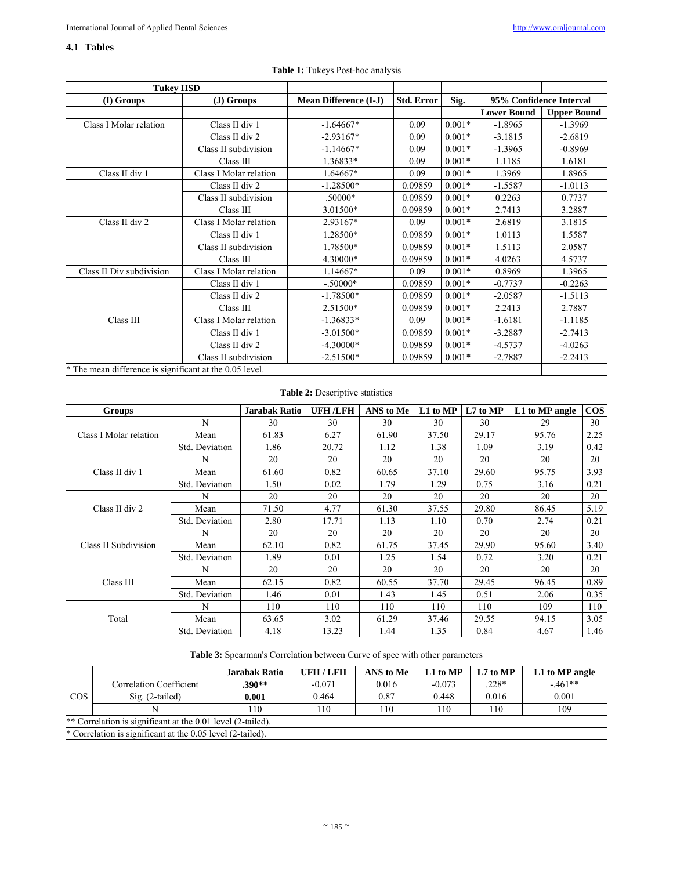## **4.1 Tables**

| <b>Tukey HSD</b>                                        |                        |                  |                   |          |                         |                    |
|---------------------------------------------------------|------------------------|------------------|-------------------|----------|-------------------------|--------------------|
| (I) Groups                                              | $J)$ Groups            |                  | <b>Std. Error</b> | Sig.     | 95% Confidence Interval |                    |
|                                                         |                        |                  |                   |          | <b>Lower Bound</b>      | <b>Upper Bound</b> |
| Class I Molar relation                                  | Class II div 1         | $-1.64667*$      | 0.09              | $0.001*$ | $-1.8965$               | $-1.3969$          |
|                                                         | Class II div 2         | $-2.93167*$      | 0.09              | $0.001*$ | $-3.1815$               | $-2.6819$          |
|                                                         | Class II subdivision   | $-1.14667*$      | 0.09              | $0.001*$ | $-1.3965$               | $-0.8969$          |
|                                                         | Class III              | 1.36833*         | 0.09              | $0.001*$ | 1.1185                  | 1.6181             |
| Class II div 1                                          | Class I Molar relation | 1.64667*         | 0.09              | $0.001*$ | 1.3969                  | 1.8965             |
|                                                         | Class II div 2         | $-1.28500*$      | 0.09859           | $0.001*$ | $-1.5587$               | $-1.0113$          |
|                                                         | Class II subdivision   | .50000*          | 0.09859           | $0.001*$ | 0.2263                  | 0.7737             |
|                                                         | Class III              | 3.01500*         | 0.09859           | $0.001*$ | 2.7413                  | 3.2887             |
| Class II div 2                                          | Class I Molar relation | 2.93167*<br>0.09 |                   | $0.001*$ | 2.6819                  | 3.1815             |
|                                                         | Class II div 1         | 1.28500*         | 0.09859           | $0.001*$ | 1.0113                  | 1.5587             |
|                                                         | Class II subdivision   | 1.78500*         | 0.09859           | $0.001*$ | 1.5113                  | 2.0587             |
|                                                         | Class III              | 4.30000*         | 0.09859           | $0.001*$ | 4.0263                  | 4.5737             |
| Class II Div subdivision                                | Class I Molar relation | 1.14667*         | 0.09              | $0.001*$ | 0.8969                  | 1.3965             |
|                                                         | Class II div 1         | $-.50000*$       | 0.09859           | $0.001*$ | $-0.7737$               | $-0.2263$          |
|                                                         | Class II div 2         | $-1.78500*$      | 0.09859           | $0.001*$ | $-2.0587$               | $-1.5113$          |
|                                                         | Class III              | 2.51500*         | 0.09859           | $0.001*$ | 2.2413                  | 2.7887             |
| Class III                                               | Class I Molar relation | $-1.36833*$      | 0.09              | $0.001*$ | $-1.6181$               | $-1.1185$          |
|                                                         | Class II div 1         | $-3.01500*$      | 0.09859           | $0.001*$ | $-3.2887$               | $-2.7413$          |
|                                                         | Class II div 2         | $-4.30000*$      | 0.09859           | $0.001*$ | $-4.5737$               | $-4.0263$          |
|                                                         | Class II subdivision   | $-2.51500*$      | 0.09859           | $0.001*$ | $-2.7887$               | $-2.2413$          |
| * The mean difference is significant at the 0.05 level. |                        |                  |                   |          |                         |                    |

# **Table 1:** Tukeys Post-hoc analysis

## **Table 2:** Descriptive statistics

| <b>Groups</b>          |                | <b>Jarabak Ratio</b> | <b>UFH /LFH</b> | ANS to Me | L1 to MP | L7 to MP | L1 to MP angle | $\cos$ |
|------------------------|----------------|----------------------|-----------------|-----------|----------|----------|----------------|--------|
| Class I Molar relation | N              | 30                   | 30              | 30        | 30       | 30       | 29             | 30     |
|                        | Mean           | 61.83                | 6.27            | 61.90     | 37.50    | 29.17    | 95.76          | 2.25   |
|                        | Std. Deviation | 1.86                 | 20.72           | 1.12      | 1.38     | 1.09     | 3.19           | 0.42   |
|                        | N              | 20                   | 20              | 20        | 20       | 20       | 20             | 20     |
| Class II div 1         | Mean           | 61.60                | 0.82            | 60.65     | 37.10    | 29.60    | 95.75          | 3.93   |
|                        | Std. Deviation | 1.50                 | 0.02            | 1.79      | 1.29     | 0.75     | 3.16           | 0.21   |
| Class II div 2         | N              | 20                   | 20              | 20        | 20       | 20       | 20             | 20     |
|                        | Mean           | 71.50                | 4.77            | 61.30     | 37.55    | 29.80    | 86.45          | 5.19   |
|                        | Std. Deviation | 2.80                 | 17.71           | 1.13      | 1.10     | 0.70     | 2.74           | 0.21   |
|                        | N              | 20                   | 20              | 20        | 20       | 20       | 20             | 20     |
| Class II Subdivision   | Mean           | 62.10                | 0.82            | 61.75     | 37.45    | 29.90    | 95.60          | 3.40   |
|                        | Std. Deviation | 1.89                 | 0.01            | 1.25      | 1.54     | 0.72     | 3.20           | 0.21   |
| Class III              | N              | 20                   | 20              | 20        | 20       | 20       | 20             | 20     |
|                        | Mean           | 62.15                | 0.82            | 60.55     | 37.70    | 29.45    | 96.45          | 0.89   |
|                        | Std. Deviation | 1.46                 | 0.01            | 1.43      | 1.45     | 0.51     | 2.06           | 0.35   |
|                        | N              | 110                  | 110             | 110       | 110      | 110      | 109            | 110    |
| Total                  | Mean           | 63.65                | 3.02            | 61.29     | 37.46    | 29.55    | 94.15          | 3.05   |
|                        | Std. Deviation | 4.18                 | 13.23           | 1.44      | 1.35     | 0.84     | 4.67           | 1.46   |

**Table 3:** Spearman's Correlation between Curve of spee with other parameters

|                                                             |                         | <b>Jarabak Ratio</b> | UFH/LFH  | ANS to Me | $L1$ to MP | $L7$ to MP | L1 to MP angle |  |
|-------------------------------------------------------------|-------------------------|----------------------|----------|-----------|------------|------------|----------------|--|
|                                                             | Correlation Coefficient | .390**               | $-0.071$ | 0.016     | $-0.073$   | $.228*$    | $-461**$       |  |
| <b>COS</b>                                                  | $Sig. (2-tailed)$       | 0.001                | 0.464    | 0.87      | 0.448      | 0.016      | 0.001          |  |
|                                                             |                         | 110                  | 110      | 110       | 110        | 110        | 109            |  |
| ** Correlation is significant at the 0.01 level (2-tailed). |                         |                      |          |           |            |            |                |  |
| * Correlation is significant at the 0.05 level (2-tailed).  |                         |                      |          |           |            |            |                |  |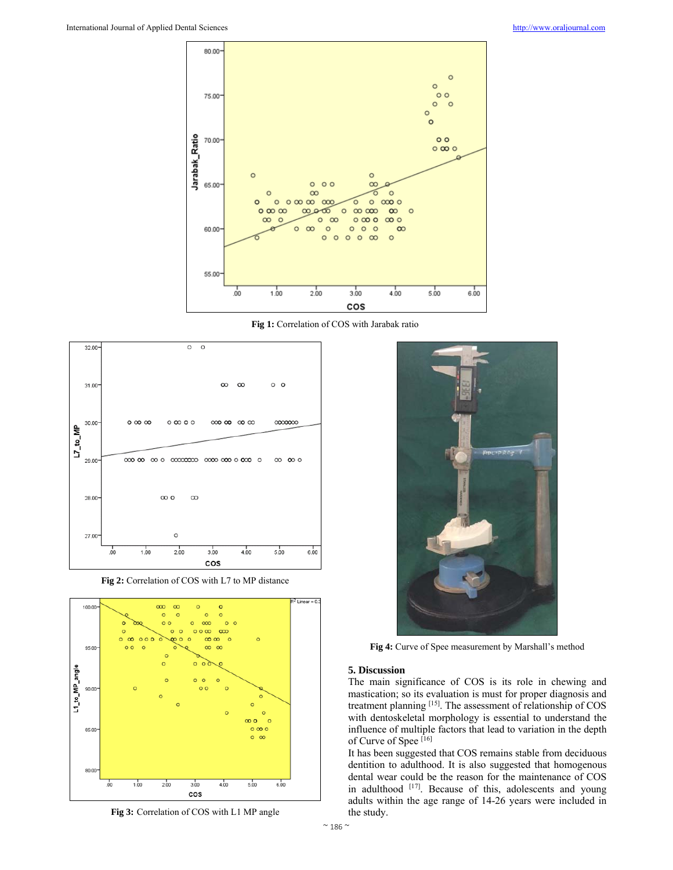

**Fig 1:** Correlation of COS with Jarabak ratio



**Fig 2:** Correlation of COS with L7 to MP distance



**Fig 3:** Correlation of COS with L1 MP angle



**Fig 4:** Curve of Spee measurement by Marshall's method

#### **5. Discussion**

The main significance of COS is its role in chewing and mastication; so its evaluation is must for proper diagnosis and treatment planning [15]. The assessment of relationship of COS with dentoskeletal morphology is essential to understand the influence of multiple factors that lead to variation in the depth of Curve of Spee [16]

It has been suggested that COS remains stable from deciduous dentition to adulthood. It is also suggested that homogenous dental wear could be the reason for the maintenance of COS in adulthood [17]. Because of this, adolescents and young adults within the age range of 14-26 years were included in the study.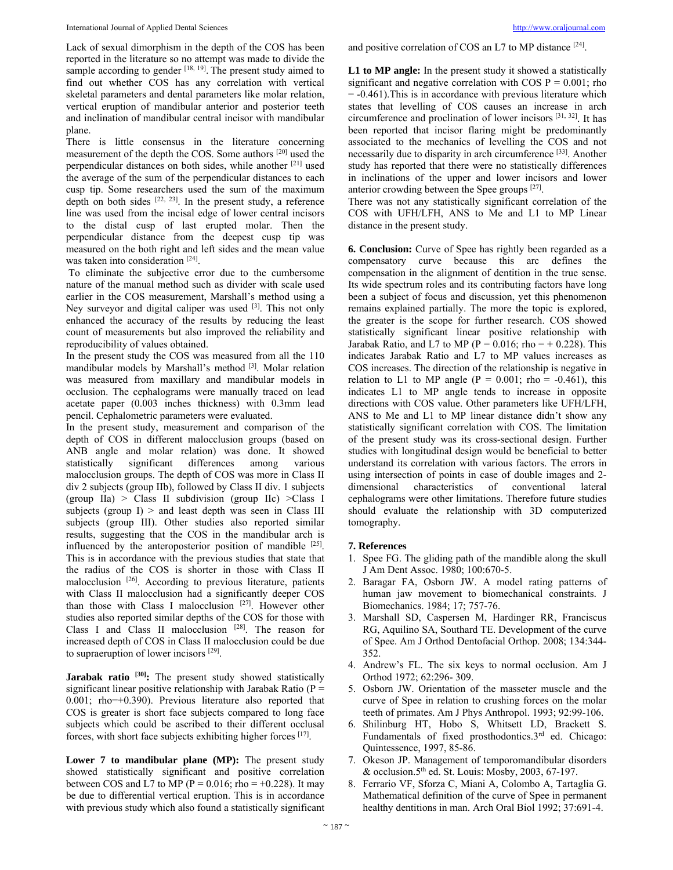Lack of sexual dimorphism in the depth of the COS has been reported in the literature so no attempt was made to divide the sample according to gender [18, 19]. The present study aimed to find out whether COS has any correlation with vertical skeletal parameters and dental parameters like molar relation, vertical eruption of mandibular anterior and posterior teeth and inclination of mandibular central incisor with mandibular plane.

There is little consensus in the literature concerning measurement of the depth the COS. Some authors [20] used the perpendicular distances on both sides, while another [21] used the average of the sum of the perpendicular distances to each cusp tip. Some researchers used the sum of the maximum depth on both sides  $[22, 23]$ . In the present study, a reference line was used from the incisal edge of lower central incisors to the distal cusp of last erupted molar. Then the perpendicular distance from the deepest cusp tip was measured on the both right and left sides and the mean value was taken into consideration [24].

 To eliminate the subjective error due to the cumbersome nature of the manual method such as divider with scale used earlier in the COS measurement, Marshall's method using a Ney surveyor and digital caliper was used [3]. This not only enhanced the accuracy of the results by reducing the least count of measurements but also improved the reliability and reproducibility of values obtained.

In the present study the COS was measured from all the 110 mandibular models by Marshall's method [3]. Molar relation was measured from maxillary and mandibular models in occlusion. The cephalograms were manually traced on lead acetate paper (0.003 inches thickness) with 0.3mm lead pencil. Cephalometric parameters were evaluated.

In the present study, measurement and comparison of the depth of COS in different malocclusion groups (based on ANB angle and molar relation) was done. It showed statistically significant differences among various malocclusion groups. The depth of COS was more in Class II div 2 subjects (group IIb), followed by Class II div. 1 subjects (group IIa)  $>$  Class II subdivision (group IIc)  $>$ Class I subjects (group  $I$ ) > and least depth was seen in Class III subjects (group III). Other studies also reported similar results, suggesting that the COS in the mandibular arch is influenced by the anteroposterior position of mandible  $[25]$ . This is in accordance with the previous studies that state that the radius of the COS is shorter in those with Class II malocclusion [26]. According to previous literature, patients with Class II malocclusion had a significantly deeper COS than those with Class I malocclusion  $[27]$ . However other studies also reported similar depths of the COS for those with Class I and Class II malocclusion [28]. The reason for increased depth of COS in Class II malocclusion could be due to supraeruption of lower incisors [29].

Jarabak ratio <sup>[30]</sup>: The present study showed statistically significant linear positive relationship with Jarabak Ratio ( $P =$ 0.001; rho=+0.390). Previous literature also reported that COS is greater is short face subjects compared to long face subjects which could be ascribed to their different occlusal forces, with short face subjects exhibiting higher forces [17].

Lower 7 to mandibular plane (MP): The present study showed statistically significant and positive correlation between COS and L7 to MP ( $P = 0.016$ ; rho = +0.228). It may be due to differential vertical eruption. This is in accordance with previous study which also found a statistically significant and positive correlation of COS an L7 to MP distance [24].

**L1 to MP angle:** In the present study it showed a statistically significant and negative correlation with COS  $P = 0.001$ ; rho = -0.461).This is in accordance with previous literature which states that levelling of COS causes an increase in arch circumference and proclination of lower incisors [31, 32]. It has been reported that incisor flaring might be predominantly associated to the mechanics of levelling the COS and not necessarily due to disparity in arch circumference [33]. Another study has reported that there were no statistically differences in inclinations of the upper and lower incisors and lower anterior crowding between the Spee groups [27].

There was not any statistically significant correlation of the COS with UFH/LFH, ANS to Me and L1 to MP Linear distance in the present study.

**6. Conclusion:** Curve of Spee has rightly been regarded as a compensatory curve because this arc defines the compensation in the alignment of dentition in the true sense. Its wide spectrum roles and its contributing factors have long been a subject of focus and discussion, yet this phenomenon remains explained partially. The more the topic is explored, the greater is the scope for further research. COS showed statistically significant linear positive relationship with Jarabak Ratio, and L7 to MP ( $P = 0.016$ ; rho = + 0.228). This indicates Jarabak Ratio and L7 to MP values increases as COS increases. The direction of the relationship is negative in relation to L1 to MP angle ( $P = 0.001$ ; rho = -0.461), this indicates L1 to MP angle tends to increase in opposite directions with COS value. Other parameters like UFH/LFH, ANS to Me and L1 to MP linear distance didn't show any statistically significant correlation with COS. The limitation of the present study was its cross-sectional design. Further studies with longitudinal design would be beneficial to better understand its correlation with various factors. The errors in using intersection of points in case of double images and 2 dimensional characteristics of conventional lateral cephalograms were other limitations. Therefore future studies should evaluate the relationship with 3D computerized tomography.

#### **7. References**

- 1. Spee FG. The gliding path of the mandible along the skull J Am Dent Assoc. 1980; 100:670-5.
- 2. Baragar FA, Osborn JW. A model rating patterns of human jaw movement to biomechanical constraints. J Biomechanics. 1984; 17; 757-76.
- 3. Marshall SD, Caspersen M, Hardinger RR, Franciscus RG, Aquilino SA, Southard TE. Development of the curve of Spee. Am J Orthod Dentofacial Orthop. 2008; 134:344- 352.
- 4. Andrew's FL. The six keys to normal occlusion. Am J Orthod 1972; 62:296- 309.
- 5. Osborn JW. Orientation of the masseter muscle and the curve of Spee in relation to crushing forces on the molar teeth of primates. Am J Phys Anthropol. 1993; 92:99-106.
- 6. Shilinburg HT, Hobo S, Whitsett LD, Brackett S. Fundamentals of fixed prosthodontics.3rd ed. Chicago: Quintessence, 1997, 85-86.
- 7. Okeson JP. Management of temporomandibular disorders & occlusion.5<sup>th</sup> ed. St. Louis: Mosby, 2003, 67-197.
- 8. Ferrario VF, Sforza C, Miani A, Colombo A, Tartaglia G. Mathematical definition of the curve of Spee in permanent healthy dentitions in man. Arch Oral Biol 1992; 37:691-4.